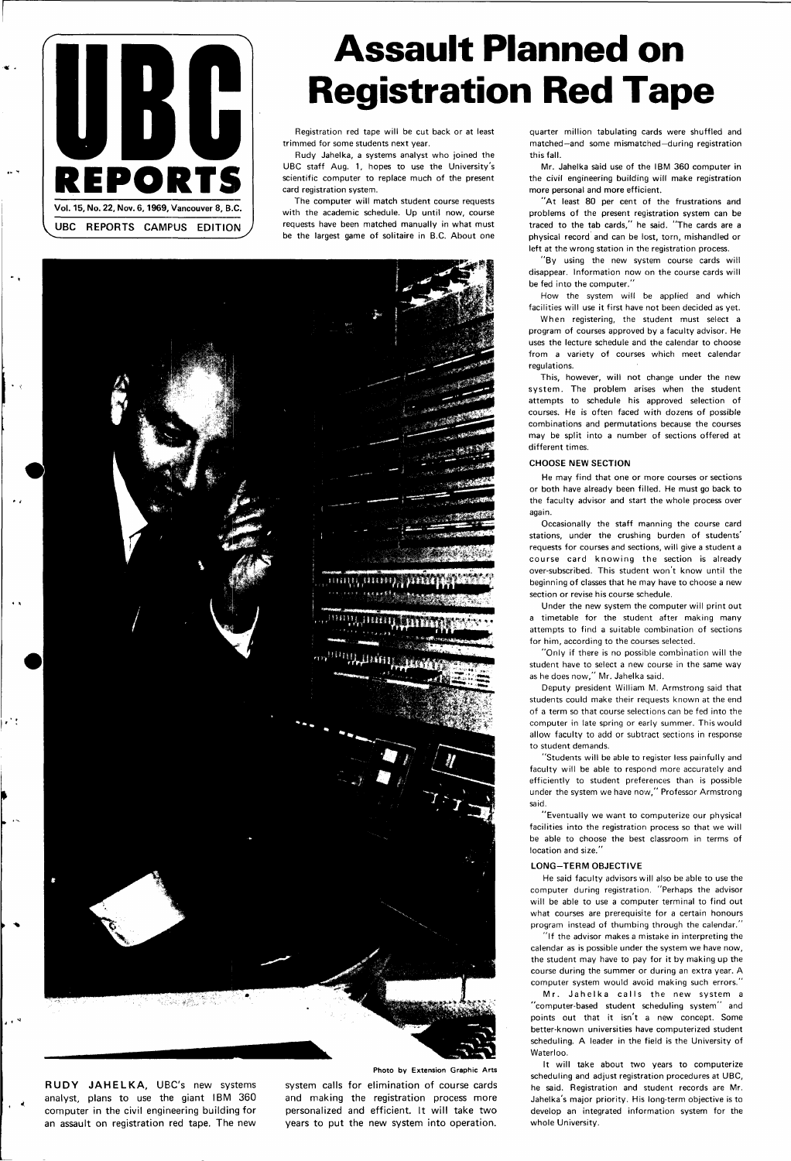## **Assault Planned on Registration Red Tape**



Registration red tape will be cut back or at least trimmed for some students next year.

Rudy Jahelka, a systems analyst who joined the UBC staff Aug. 1, hopes to use the University's scientific computer to replace much of the present card registration system.

The computer will match student course requests with the academic schedule. Up until now, course requests have been matched manually in what must be the largest game of solitaire in B.C. About one



**RUDY JAHELKA,** UBC's new systems analyst, plans to use the giant IBM 360 computer in the civil engineering building for an assault on registration red tape. The new

في ال

"At least 80 per cent of the frustrations and problems of the present registration system can be traced to the tab cards," he said. "The cards are a physical record and can be lost, torn, mishandled or left at the wrong station in the registration process.

system calls for elimination of course cards and making the registration process more personalized and efficient. It will take two years to put the new system into operation.

quarter million tabulating cards were shuffled and matched—and some mismatched—during registration this fall.

Mr. Jahelka said use of the IBM 360 computer in the civil engineering building will make registration more personal and more efficient.

"By using the new system course cards will disappear. Information now on the course cards will be fed into the computer."

How the system will be applied and which facilities will use it first have not been decided as yet.

When registering, the student must select a program of courses approved by a faculty advisor. He uses the lecture schedule and the calendar to choose from a variety of courses which meet calendar regulations.

This, however, will not change under the new system. The problem arises when the student attempts to schedule his approved selection of courses. He is often faced with dozens of possible combinations and permutations because the courses may be split into a number of sections offered at different times.

#### **CHOOSE NEW SECTION**

Mr. Jahelka calls the new system a "computer-based student scheduling system" and points out that it isn't a new concept. Some better-known universities have computerized student scheduling. A leader in the field is the University of Waterloo.

He may find that one or more courses or sections or both have already been filled. He must go back to the faculty advisor and start the whole process over again.

Occasionally the staff manning the course card stations, under the crushing burden of students' requests for courses and sections, will give a student a course card knowing the section is already over-subscribed. This student won't know until the beginning of classes that he may have to choose a new section or revise his course schedule.

Under the new system the computer will print out a timetable for the student after making many attempts to find a suitable combination of sections for him, according to the courses selected.

"Only if there is no possible combination will the student have to select a new course in the same way as he does now," Mr. Jahelka said.

Deputy president William M. Armstrong said that students could make their requests known at the end of a term so that course selections can be fed into the computer in late spring or early summer. This would allow faculty to add or subtract sections in response to student demands.

"Students will be able to register less painfully and faculty will be able to respond more accurately and efficiently to student preferences than is possible under the system we have now," Professor Armstrong said.

"Eventually we want to computerize our physical facilities into the registration process so that we will be able to choose the best classroom in terms of location and size."

#### **LONG-TERM OBJECTIVE**

He said faculty advisors will also be able to use the

computer during registration. "Perhaps the advisor will be able to use a computer terminal to find out what courses are prerequisite for a certain honours program instead of thumbing through the calendar."

"If the advisor makes a mistake in interpreting the calendar as is possible under the system we have now, the student may have to pay for it by making up the course during the summer or during an extra year. A computer system would avoid making such errors."

It will take about two years to computerize scheduling and adjust registration procedures at UBC, he said. Registration and student records are Mr. Jahelka's major priority. His long-term objective is to develop an integrated information system for the whole University.

**Photo by Extension Graphic Arts**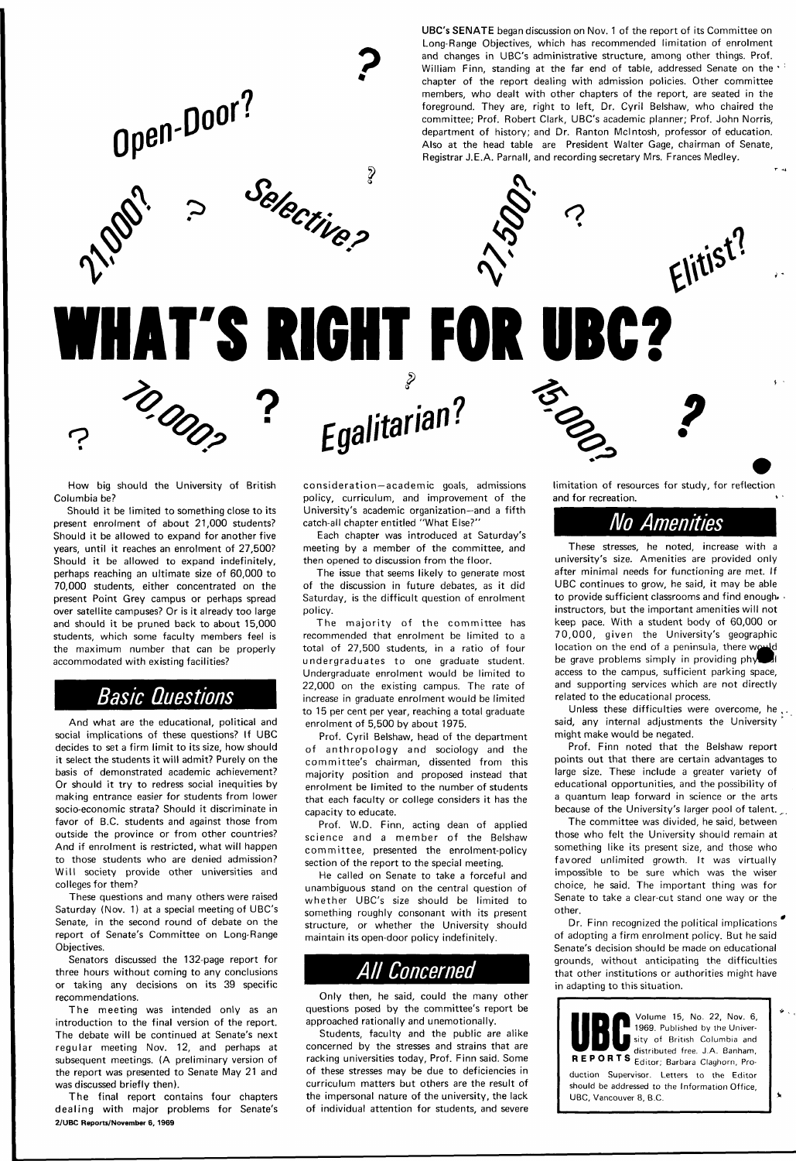**UBC's SENATE** began discussion on Nov. 1 of the report of its Committee on Long-Range Objectives, which has recommended limitation of enrolment and changes in UBC's administrative structure, among other things. Prof. William Finn, standing at the far end of table, addressed Senate on the chapter of the report dealing with admission policies. Other committee members, who dealt with other chapters of the report, are seated in the foreground. They are, right to left, Dr. Cyril Belshaw, who chaired the committee; Prof. Robert Clark, UBC's academic planner; Prof. John Norris, department of history; and Dr. Ranton Mcintosh, professor of education. Also at the head table are President Walter Gage, chairman of Senate, Registrar J.E.A. Parnall, and recording secretary Mrs. Frances Medley.



And what are the educational, political and social implications of these questions? If UBC decides to set a firm limit to its size, how should it select the students it will admit? Purely on the basis of demonstrated academic achievement? Or should it try to redress social inequities by making entrance easier for students from lower socio-economic strata? Should it discriminate in favor of B.C. students and against those from outside the province or from other countries? And if enrolment is restricted, what will happen to those students who are denied admission? Will society provide other universities and

*2>* 

litarian :

**Efla** 

How big should the University of British Columbia be?

TO DOC

Should it be limited to something close to its present enrolment of about 21,000 students? Should it be allowed to expand for another five years, until it reaches an enrolment of 27,500? Should it be allowed to expand indefinitely, perhaps reaching an ultimate size of 60,000 to 70,000 students, either concentrated on the present Point Grey campus or perhaps spread over satellite campuses? Or is it already too large and should it be pruned back to about 15,000 students, which some faculty members feel is the maximum number that can be properly accommodated with existing facilities?

## Basic Questions

The majority of the committee has recommended that enrolment be limited to a total of 27,500 students, in a ratio of four undergraduates to one graduate student. Undergraduate enrolment would be limited to 22,000 on the existing campus. The rate of increase in graduate enrolment would be limited to 15 per cent per year, reaching a total graduate enrolment of 5,500 by about 1975.

colleges for them?

These questions and many others were raised Saturday (Nov. 1) at a special meeting of UBC's Senate, in the second round of debate on the report of Senate's Committee on Long-Range Objectives.

Senators discussed the 132-page report for three hours without coming to any conclusions or taking any decisions on its 39 specific recommendations.

limitation of resources for study, for reflection and for recreation.

 $\frac{10}{3}$  ?

Elitist?

The meeting was intended only as an introduction to the final version of the report. The debate will be continued at Senate's next regular meeting Nov. 12, and perhaps at subsequent meetings. (A preliminary version of the report was presented to Senate May 21 and was discussed briefly then).

The final report contains four chapters dealing with major problems for Senate's 2/UBC Reports/November 6, 1969

Unless these difficulties were overcome, he said, any internal adjustments the University might make would be negated.

Prof. Finn noted that the Belshaw report points out that there are certain advantages to large size. These include a greater variety of educational opportunities, and the possibility of a quantum leap forward in science or the arts because of the University's larger pool of talent.

consideration —academic goals, admissions policy, curriculum, and improvement of the University's academic organization—and a fifth catch-all chapter entitled "What Else?"

Each chapter was introduced at Saturday's meeting by a member of the committee, and then opened to discussion from the floor.

The issue that seems likely to generate most of the discussion in future debates, as it did Saturday, is the difficult question of enrolment policy.

> Dr. Finn recognized the political implications of adopting a firm enrolment policy. But he said Senate's decision should be made on educational grounds, without anticipating the difficulties that other institutions or authorities might have in adapting to this situation.

Prof. Cyril Belshaw, head of the department of anthropology and sociology and the committee's chairman, dissented from this majority position and proposed instead that enrolment be limited to the number of students that each faculty or college considers it has the capacity to educate.

Prof. W.D. Finn, acting dean of applied science and a member of the Belshaw committee, presented the enrolment-policy section of the report to the special meeting.

He called on Senate to take a forceful and unambiguous stand on the central question of whether UBC's size should be limited to something roughly consonant with its present structure, or whether the University should maintain its open-door policy indefinitely.

## All Concerned

Only then, he said, could the many other questions posed by the committee's report be approached rationally and unemotionally.

Students, faculty and the public are alike concerned by the stresses and strains that are racking universities today, Prof. Finn said. Some of these stresses may be due to deficiencies in curriculum matters but others are the result of the impersonal nature of the university, the lack of individual attention for students, and severe

### No Amenities

These stresses, he noted, increase with a university's size. Amenities are provided only after minimal needs for functioning are met. If UBC continues to grow, he said, it may be able to provide sufficient classrooms and find enough. instructors, but the important amenities will not keep pace. With a student body of 60,000 or 70,000, given the University's geographic location on the end of a peninsula, there would be grave problems simply in providing  $ph$ access to the campus, sufficient parking space, and supporting services which are not directly related to the educational process.

The committee was divided, he said, between those who felt the University should remain at something like its present size, and those who favored unlimited growth. It was virtually impossible to be sure which was the wiser choice, he said. The important thing was for Senate to take a clear-cut stand one way or the other.

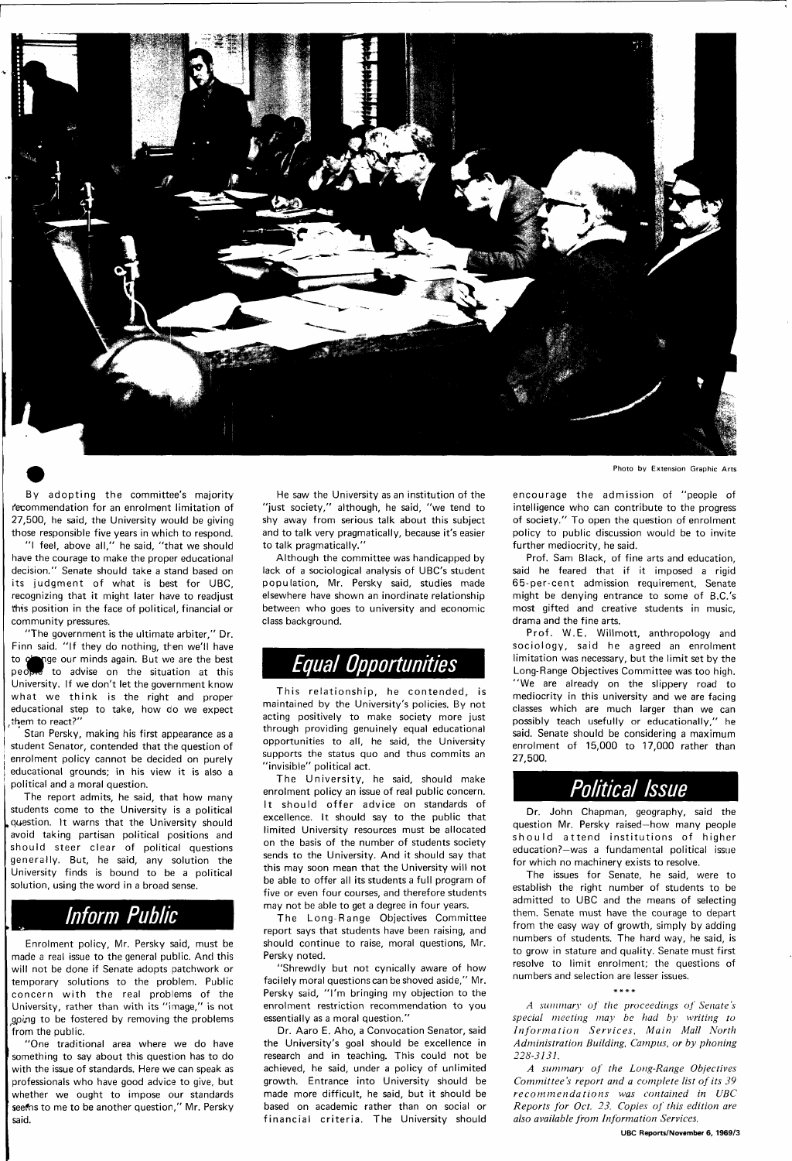

Photo by Extension Graphic Arts

By adopting the committee's majority recommendation for an enrolment limitation of 27,500, he said, the University would be giving those responsible five years in which to respond.

"I feel, above all," he said, "that we should have the courage to make the proper educational decision." Senate should take a stand based on its judgment of what is best for UBC, recognizing that it might later have to readjust this position in the face of political, financial or community pressures.

"The government is the ultimate arbiter," Dr. Finn said. "If they do nothing, then we'll have to obtain our minds again. But we are the best people to advise on the situation at this University. If we don't let the government know what we think is the right and proper educational step to take, how do we expect them to react?"

Stan Persky, making his first appearance as a student Senator, contended that the question of enrolment policy cannot be decided on purely educational grounds; in his view it is also a political and a moral question.

The report admits, he said, that how many students come to the University is a political .question. It warns that the University should avoid taking partisan political positions and should steer clear of political questions generally. But, he said, any solution the University finds is bound to be a political

solution, using the word in a broad sense.

## Inform Public

Enrolment policy, Mr. Persky said, must be made a real issue to the general public. And this will not be done if Senate adopts patchwork or temporary solutions to the problem. Public concern with the real problems of the University, rather than with its "image," is not going to be fostered by removing the problems from the public.

"One traditional area where we do have something to say about this question has to do with the issue of standards. Here we can speak as professionals who have good advice to give, but whether we ought to impose our standards see ns to me to be another question," Mr. Persky said.

He saw the University as an institution of the "just society," although, he said, "we tend to shy away from serious talk about this subject and to talk very pragmatically, because it's easier to talk pragmatically."

Although the committee was handicapped by lack of a sociological analysis of UBC's student population, Mr. Persky said, studies made elsewhere have shown an inordinate relationship between who goes to university and economic class background.

## Equal Opportunities

This relationship, he contended, is maintained by the University's policies. By not acting positively to make society more just through providing genuinely equal educational opportunities to all, he said, the University supports the status quo and thus commits an "invisible" political act.

The University, he said, should make enrolment policy an issue of real public concern. It should offer advice on standards of excellence. It should say to the public that limited University resources must be allocated on the basis of the number of students society sends to the University. And it should say that this may soon mean that the University will not be able to offer all its students a full program of five or even four courses, and therefore students may not be able to get a degree in four years.

The Long-Range Objectives Committee report says that students have been raising, and should continue to raise, moral questions, Mr. Persky noted.

"Shrewdly but not cynically aware of how facilely moral questions can be shoved aside," Mr. Persky said, "I'm bringing my objection to the enrolment restriction recommendation to you essentially as a moral question."

Dr. Aaro E. Aho, a Convocation Senator, said the University's goal should be excellence in research and in teaching. This could not be achieved, he said, under a policy of unlimited growth. Entrance into University should be made more difficult, he said, but it should be based on academic rather than on social or financial criteria. The University should

encourage the admission of "people of intelligence who can contribute to the progress of society." To open the question of enrolment policy to public discussion would be to invite further mediocrity, he said.

Prof. Sam Black, of fine arts and education, said he feared that if it imposed a rigid 65-per-cent admission requirement, Senate might be denying entrance to some of B.C.'s most gifted and creative students in music, drama and the fine arts.

Prof. W.E. Willmott, anthropology and sociology, said he agreed an enrolment limitation was necessary, but the limit set by the Long-Range Objectives Committee was too high. "We are already on the slippery road to mediocrity in this university and we are facing classes which are much larger than we can possibly teach usefully or educationally," he said. Senate should be considering a maximum enrolment of 15,000 to 17,000 rather than 27,500.

## Political Issue

Dr. John Chapman, geography, said the question Mr. Persky raised—how many people should attend institutions of higher education?—was a fundamental political issue for which no machinery exists to resolve.

The issues for Senate, he said, were to

establish the right number of students to be admitted to UBC and the means of selecting them. Senate must have the courage to depart from the easy way of growth, simply by adding numbers of students. The hard way, he said, is to grow in stature and quality. Senate must first resolve to limit enrolment; the questions of numbers and selection are lesser issues.

#### \* \* \* #

*A summary of the proceedings of Senate's special meeting may be had by writing to Information Services, Main Mall North Administration Building, Campus, or by phoning 228-3131.* 

*A summary of the Long-Range Objectives Committee's report and a complete list of its 39 recommendations was contained in UBC Reports for Oct. 23. Copies of this edition are also available from Information Services.* 

#### **UBC Reports/November 6, 1969/3**